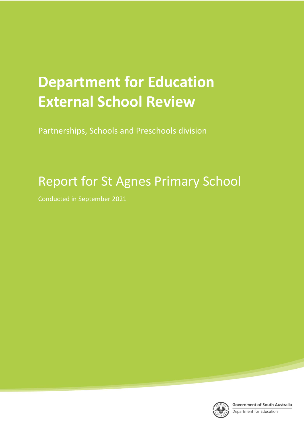# **Department for Education External School Review**

Partnerships, Schools and Preschools division

## Report for St Agnes Primary School

Conducted in September 2021

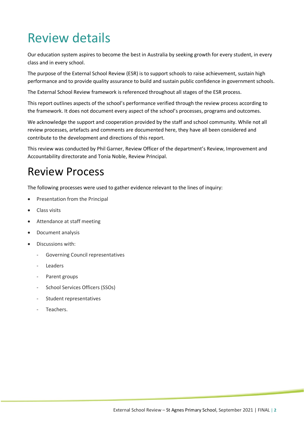## Review details

Our education system aspires to become the best in Australia by seeking growth for every student, in every class and in every school.

The purpose of the External School Review (ESR) is to support schools to raise achievement, sustain high performance and to provide quality assurance to build and sustain public confidence in government schools.

The External School Review framework is referenced throughout all stages of the ESR process.

This report outlines aspects of the school's performance verified through the review process according to the framework. It does not document every aspect of the school's processes, programs and outcomes.

We acknowledge the support and cooperation provided by the staff and school community. While not all review processes, artefacts and comments are documented here, they have all been considered and contribute to the development and directions of this report.

This review was conducted by Phil Garner, Review Officer of the department's Review, Improvement and Accountability directorate and Tonia Noble, Review Principal.

## Review Process

The following processes were used to gather evidence relevant to the lines of inquiry:

- Presentation from the Principal
- Class visits
- Attendance at staff meeting
- Document analysis
- Discussions with:
	- Governing Council representatives
	- **Leaders**
	- Parent groups
	- School Services Officers (SSOs)
	- Student representatives
	- Teachers.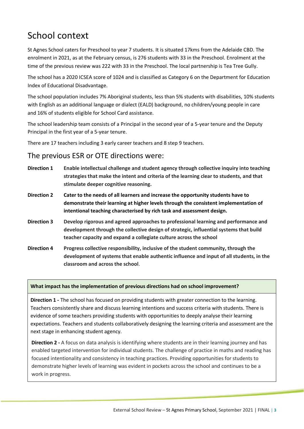### School context

St Agnes School caters for Preschool to year 7 students. It is situated 17kms from the Adelaide CBD. The enrolment in 2021, as at the February census, is 276 students with 33 in the Preschool. Enrolment at the time of the previous review was 222 with 33 in the Preschool. The local partnership is Tea Tree Gully.

The school has a 2020 ICSEA score of 1024 and is classified as Category 6 on the Department for Education Index of Educational Disadvantage.

The school population includes 7% Aboriginal students, less than 5% students with disabilities, 10% students with English as an additional language or dialect (EALD) background, no children/young people in care and 16% of students eligible for School Card assistance.

The school leadership team consists of a Principal in the second year of a 5-year tenure and the Deputy Principal in the first year of a 5-year tenure.

There are 17 teachers including 3 early career teachers and 8 step 9 teachers.

#### The previous ESR or OTE directions were:

- **Direction 1 Enable intellectual challenge and student agency through collective inquiry into teaching strategies that make the intent and criteria of the learning clear to students, and that stimulate deeper cognitive reasoning.**
- **Direction 2 Cater to the needs of all learners and increase the opportunity students have to demonstrate their learning at higher levels through the consistent implementation of intentional teaching characterised by rich task and assessment design.**
- **Direction 3 Develop rigorous and agreed approaches to professional learning and performance and development through the collective design of strategic, influential systems that build teacher capacity and expand a collegiate culture across the school**
- **Direction 4 Progress collective responsibility, inclusive of the student community, through the development of systems that enable authentic influence and input of all students, in the classroom and across the school**.

#### **What impact has the implementation of previous directions had on school improvement?**

**Direction 1 -** The school has focused on providing students with greater connection to the learning. Teachers consistently share and discuss learning intentions and success criteria with students. There is evidence of some teachers providing students with opportunities to deeply analyse their learning expectations. Teachers and students collaboratively designing the learning criteria and assessment are the next stage in enhancing student agency.

**Direction 2 -** A focus on data analysis is identifying where students are in their learning journey and has enabled targeted intervention for individual students. The challenge of practice in maths and reading has focused intentionality and consistency in teaching practices. Providing opportunities for students to demonstrate higher levels of learning was evident in pockets across the school and continues to be a work in progress.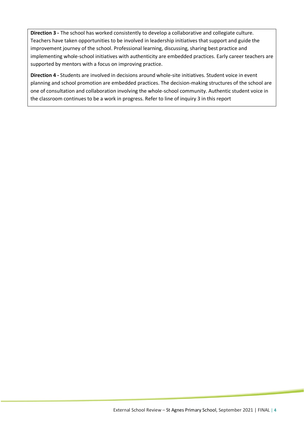**Direction 3 -** The school has worked consistently to develop a collaborative and collegiate culture. Teachers have taken opportunities to be involved in leadership initiatives that support and guide the improvement journey of the school. Professional learning, discussing, sharing best practice and implementing whole-school initiatives with authenticity are embedded practices. Early career teachers are supported by mentors with a focus on improving practice.

**Direction 4 -** Students are involved in decisions around whole-site initiatives. Student voice in event planning and school promotion are embedded practices. The decision-making structures of the school are one of consultation and collaboration involving the whole-school community. Authentic student voice in the classroom continues to be a work in progress. Refer to line of inquiry 3 in this report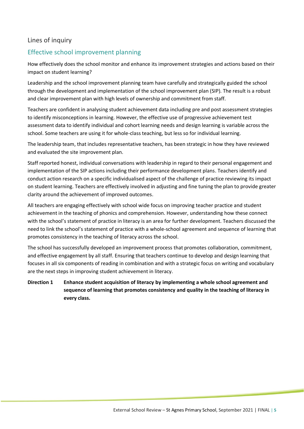#### Lines of inquiry

#### Effective school improvement planning

How effectively does the school monitor and enhance its improvement strategies and actions based on their impact on student learning?

Leadership and the school improvement planning team have carefully and strategically guided the school through the development and implementation of the school improvement plan (SIP). The result is a robust and clear improvement plan with high levels of ownership and commitment from staff.

Teachers are confident in analysing student achievement data including pre and post assessment strategies to identify misconceptions in learning. However, the effective use of progressive achievement test assessment data to identify individual and cohort learning needs and design learning is variable across the school. Some teachers are using it for whole-class teaching, but less so for individual learning.

The leadership team, that includes representative teachers, has been strategic in how they have reviewed and evaluated the site improvement plan.

Staff reported honest, individual conversations with leadership in regard to their personal engagement and implementation of the SIP actions including their performance development plans. Teachers identify and conduct action research on a specific individualised aspect of the challenge of practice reviewing its impact on student learning. Teachers are effectively involved in adjusting and fine tuning the plan to provide greater clarity around the achievement of improved outcomes.

All teachers are engaging effectively with school wide focus on improving teacher practice and student achievement in the teaching of phonics and comprehension. However, understanding how these connect with the school's statement of practice in literacy is an area for further development. Teachers discussed the need to link the school's statement of practice with a whole-school agreement and sequence of learning that promotes consistency in the teaching of literacy across the school.

The school has successfully developed an improvement process that promotes collaboration, commitment, and effective engagement by all staff. Ensuring that teachers continue to develop and design learning that focuses in all six components of reading in combination and with a strategic focus on writing and vocabulary are the next steps in improving student achievement in literacy.

#### **Direction 1 Enhance student acquisition of literacy by implementing a whole school agreement and sequence of learning that promotes consistency and quality in the teaching of literacy in every class.**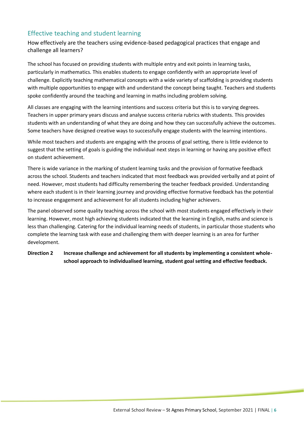#### Effective teaching and student learning

How effectively are the teachers using evidence-based pedagogical practices that engage and challenge all learners?

The school has focused on providing students with multiple entry and exit points in learning tasks, particularly in mathematics. This enables students to engage confidently with an appropriate level of challenge. Explicitly teaching mathematical concepts with a wide variety of scaffolding is providing students with multiple opportunities to engage with and understand the concept being taught. Teachers and students spoke confidently around the teaching and learning in maths including problem solving.

All classes are engaging with the learning intentions and success criteria but this is to varying degrees. Teachers in upper primary years discuss and analyse success criteria rubrics with students. This provides students with an understanding of what they are doing and how they can successfully achieve the outcomes. Some teachers have designed creative ways to successfully engage students with the learning intentions.

While most teachers and students are engaging with the process of goal setting, there is little evidence to suggest that the setting of goals is guiding the individual next steps in learning or having any positive effect on student achievement.

There is wide variance in the marking of student learning tasks and the provision of formative feedback across the school. Students and teachers indicated that most feedback was provided verbally and at point of need. However, most students had difficulty remembering the teacher feedback provided. Understanding where each student is in their learning journey and providing effective formative feedback has the potential to increase engagement and achievement for all students including higher achievers.

The panel observed some quality teaching across the school with most students engaged effectively in their learning. However, most high achieving students indicated that the learning in English, maths and science is less than challenging. Catering for the individual learning needs of students, in particular those students who complete the learning task with ease and challenging them with deeper learning is an area for further development.

#### **Direction 2 Increase challenge and achievement for all students by implementing a consistent wholeschool approach to individualised learning, student goal setting and effective feedback.**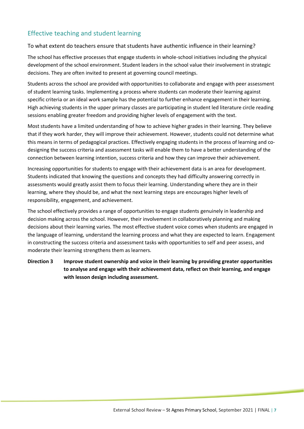#### Effective teaching and student learning

To what extent do teachers ensure that students have authentic influence in their learning?

The school has effective processes that engage students in whole-school initiatives including the physical development of the school environment. Student leaders in the school value their involvement in strategic decisions. They are often invited to present at governing council meetings.

Students across the school are provided with opportunities to collaborate and engage with peer assessment of student learning tasks. Implementing a process where students can moderate their learning against specific criteria or an ideal work sample has the potential to further enhance engagement in their learning. High achieving students in the upper primary classes are participating in student led literature circle reading sessions enabling greater freedom and providing higher levels of engagement with the text.

Most students have a limited understanding of how to achieve higher grades in their learning. They believe that if they work harder, they will improve their achievement. However, students could not determine what this means in terms of pedagogical practices. Effectively engaging students in the process of learning and codesigning the success criteria and assessment tasks will enable them to have a better understanding of the connection between learning intention, success criteria and how they can improve their achievement.

Increasing opportunities for students to engage with their achievement data is an area for development. Students indicated that knowing the questions and concepts they had difficulty answering correctly in assessments would greatly assist them to focus their learning. Understanding where they are in their learning, where they should be, and what the next learning steps are encourages higher levels of responsibility, engagement, and achievement.

The school effectively provides a range of opportunities to engage students genuinely in leadership and decision making across the school. However, their involvement in collaboratively planning and making decisions about their learning varies. The most effective student voice comes when students are engaged in the language of learning, understand the learning process and what they are expected to learn. Engagement in constructing the success criteria and assessment tasks with opportunities to self and peer assess, and moderate their learning strengthens them as learners.

**Direction 3 Improve student ownership and voice in their learning by providing greater opportunities to analyse and engage with their achievement data, reflect on their learning, and engage with lesson design including assessment.**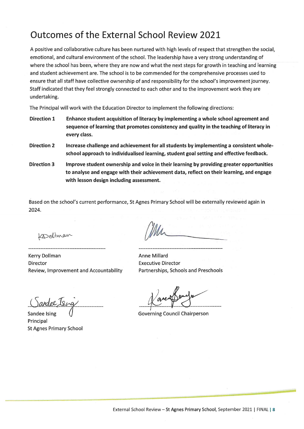### Outcomes of the External School Review 2021

A positive and collaborative culture has been nurtured with high levels of respect that strengthen the social, emotional, and cultural environment of the school. The leadership have a very strong understanding of where the school has been, where they are now and what the next steps for growth in teaching and learning and student achievement are. The school is to be commended for the comprehensive processes used to ensure that all staff have collective ownership of and responsibility for the school's improvement journey. Staff indicated that they feel strongly connected to each other and to the improvement work they are undertaking.

The Principal will work with the Education Director to implement the following directions:

- **Direction 1** Enhance student acquisition of literacy by implementing a whole school agreement and sequence of learning that promotes consistency and quality in the teaching of literacy in every class.
- **Direction 2** Increase challenge and achievement for all students by implementing a consistent wholeschool approach to individualised learning, student goal setting and effective feedback.
- **Direction 3** Improve student ownership and voice in their learning by providing greater opportunities to analyse and engage with their achievement data, reflect on their learning, and engage with lesson design including assessment.

Based on the school's current performance, St Agnes Primary School will be externally reviewed again in 2024.

Kodelman

**Kerry Dollman** Director Review, Improvement and Accountability

<u>Candel Ising</u>

Sandee Isin Principal **St Agnes Primary School** 

Anne Millard **Executive Director** Partnerships, Schools and Preschools

**Governing Council Chairperson**